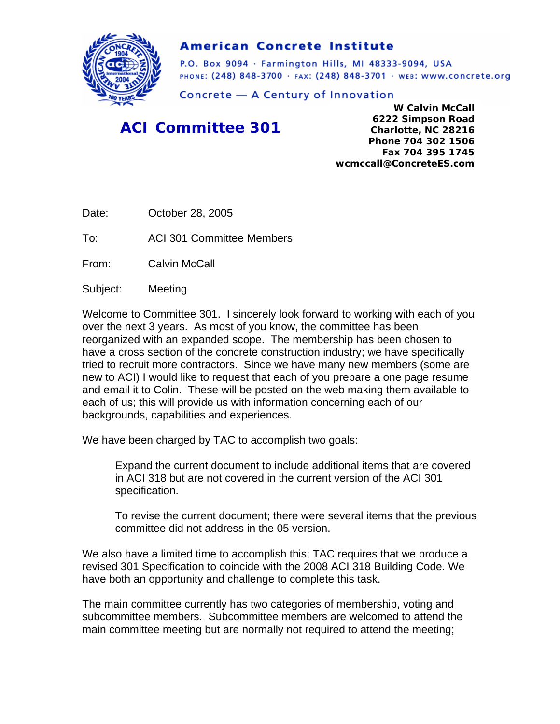

# **American Concrete Institute**

P.O. Box 9094 · Farmington Hills, MI 48333-9094, USA PHONE: (248) 848-3700 · FAX: (248) 848-3701 · WEB: WWW.CONCrete.org

Concrete - A Century of Innovation

# *ACI Committee 301*

**W Calvin McCall 6222 Simpson Road Charlotte, NC 28216 Phone 704 302 1506 Fax 704 395 1745 wcmccall@ConcreteES.com** 

Date: October 28, 2005

To: ACI 301 Committee Members

From: Calvin McCall

Subject: Meeting

Welcome to Committee 301. I sincerely look forward to working with each of you over the next 3 years. As most of you know, the committee has been reorganized with an expanded scope. The membership has been chosen to have a cross section of the concrete construction industry; we have specifically tried to recruit more contractors. Since we have many new members (some are new to ACI) I would like to request that each of you prepare a one page resume and email it to Colin. These will be posted on the web making them available to each of us; this will provide us with information concerning each of our backgrounds, capabilities and experiences.

We have been charged by TAC to accomplish two goals:

Expand the current document to include additional items that are covered in ACI 318 but are not covered in the current version of the ACI 301 specification.

To revise the current document; there were several items that the previous committee did not address in the 05 version.

We also have a limited time to accomplish this; TAC requires that we produce a revised 301 Specification to coincide with the 2008 ACI 318 Building Code. We have both an opportunity and challenge to complete this task.

The main committee currently has two categories of membership, voting and subcommittee members. Subcommittee members are welcomed to attend the main committee meeting but are normally not required to attend the meeting;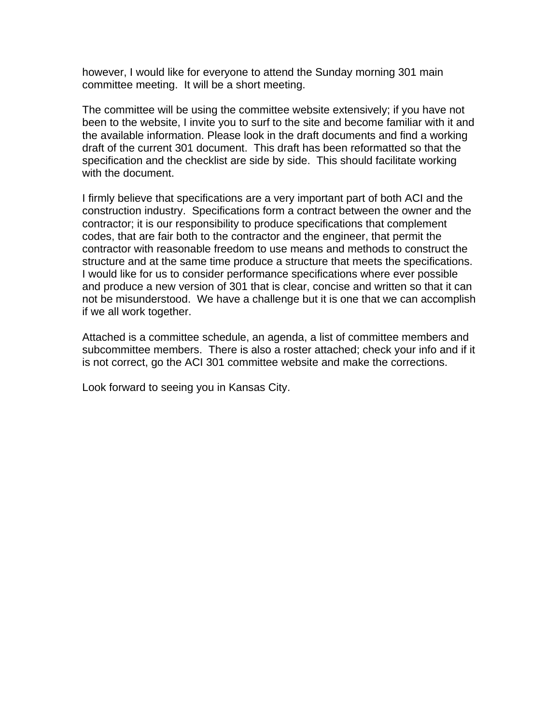however, I would like for everyone to attend the Sunday morning 301 main committee meeting. It will be a short meeting.

The committee will be using the committee website extensively; if you have not been to the website, I invite you to surf to the site and become familiar with it and the available information. Please look in the draft documents and find a working draft of the current 301 document. This draft has been reformatted so that the specification and the checklist are side by side. This should facilitate working with the document.

I firmly believe that specifications are a very important part of both ACI and the construction industry. Specifications form a contract between the owner and the contractor; it is our responsibility to produce specifications that complement codes, that are fair both to the contractor and the engineer, that permit the contractor with reasonable freedom to use means and methods to construct the structure and at the same time produce a structure that meets the specifications. I would like for us to consider performance specifications where ever possible and produce a new version of 301 that is clear, concise and written so that it can not be misunderstood. We have a challenge but it is one that we can accomplish if we all work together.

Attached is a committee schedule, an agenda, a list of committee members and subcommittee members. There is also a roster attached; check your info and if it is not correct, go the ACI 301 committee website and make the corrections.

Look forward to seeing you in Kansas City.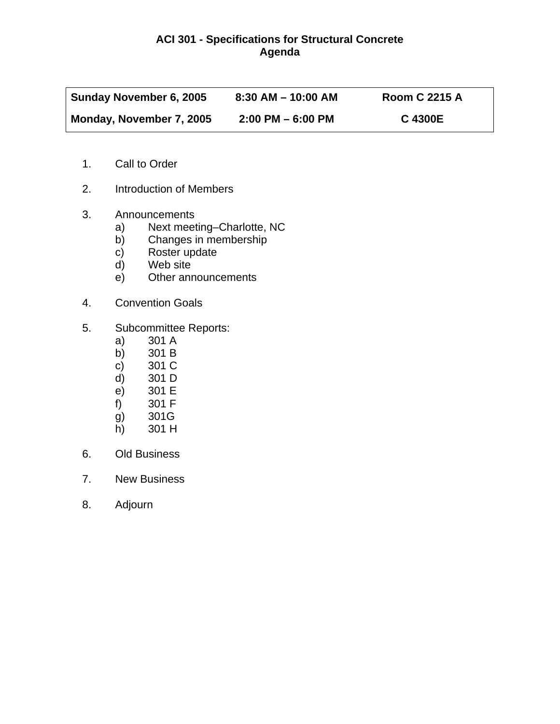# **ACI 301 - Specifications for Structural Concrete Agenda**

| Sunday November 6, 2005  | $8:30$ AM $-$ 10:00 AM | <b>Room C 2215 A</b> |
|--------------------------|------------------------|----------------------|
| Monday, November 7, 2005 | $2:00$ PM $-6:00$ PM   | C 4300E              |

- 1. Call to Order
- 2. Introduction of Members
- 3. Announcements
	- a) Next meeting–Charlotte, NC<br>b) Changes in membership
	- Changes in membership
	- c) Roster update<br>d) Web site
	- Web site
	- e) Other announcements
- 4. Convention Goals
- 5. Subcommittee Reports:
	- a) 301 A
	- b) 301 B
	- c) 301 C<br>d) 301 D
	- d) 301 D
	- e) 301 E<br>f) 301 F
	- 301 F
	- g) 301G
	- h) 301 H
- 6. Old Business
- 7. New Business
- 8. Adjourn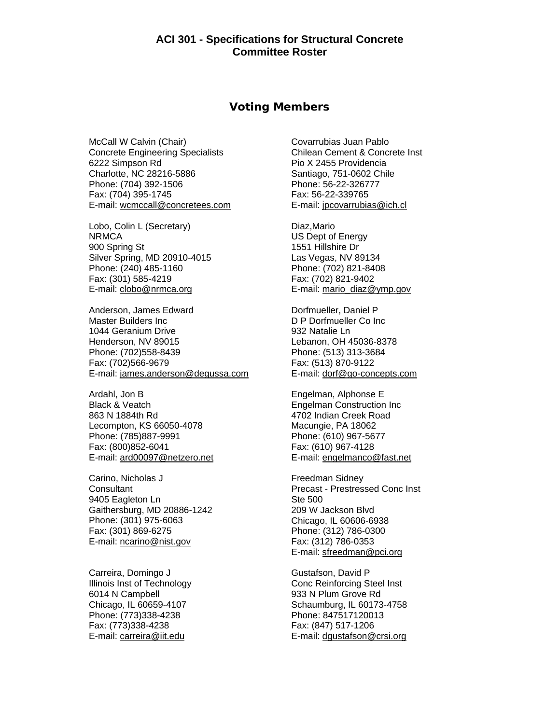#### **Voting Members**

McCall W Calvin (Chair) Concrete Engineering Specialists 6222 Simpson Rd Charlotte, NC 28216-5886 Phone: (704) 392-1506 Fax: (704) 395-1745 E-mail: wcmccall@concretees.com

Lobo, Colin L (Secretary) **NRMCA** 900 Spring St Silver Spring, MD 20910-4015 Phone: (240) 485-1160 Fax: (301) 585-4219 E-mail: clobo@nrmca.org

Anderson, James Edward Master Builders Inc 1044 Geranium Drive Henderson, NV 89015 Phone: (702)558-8439 Fax: (702)566-9679 E-mail: james.anderson@degussa.com

Ardahl, Jon B Black & Veatch 863 N 1884th Rd Lecompton, KS 66050-4078 Phone: (785)887-9991 Fax: (800)852-6041 E-mail: ard00097@netzero.net

Carino, Nicholas J **Consultant** 9405 Eagleton Ln Gaithersburg, MD 20886-1242 Phone: (301) 975-6063 Fax: (301) 869-6275 E-mail: ncarino@nist.gov

Carreira, Domingo J Illinois Inst of Technology 6014 N Campbell Chicago, IL 60659-4107 Phone: (773)338-4238 Fax: (773)338-4238 E-mail: carreira@iit.edu

Covarrubias Juan Pablo Chilean Cement & Concrete Inst Pio X 2455 Providencia Santiago, 751-0602 Chile Phone: 56-22-326777 Fax: 56-22-339765 E-mail: jpcovarrubias@ich.cl

Diaz,Mario US Dept of Energy 1551 Hillshire Dr Las Vegas, NV 89134 Phone: (702) 821-8408 Fax: (702) 821-9402 E-mail: mario\_diaz@ymp.gov

Dorfmueller, Daniel P D P Dorfmueller Co Inc 932 Natalie Ln Lebanon, OH 45036-8378 Phone: (513) 313-3684 Fax: (513) 870-9122 E-mail: dorf@go-concepts.com

Engelman, Alphonse E Engelman Construction Inc 4702 Indian Creek Road Macungie, PA 18062 Phone: (610) 967-5677 Fax: (610) 967-4128 E-mail: engelmanco@fast.net

Freedman Sidney Precast - Prestressed Conc Inst Ste 500 209 W Jackson Blvd Chicago, IL 60606-6938 Phone: (312) 786-0300 Fax: (312) 786-0353 E-mail: sfreedman@pci.org

Gustafson, David P Conc Reinforcing Steel Inst 933 N Plum Grove Rd Schaumburg, IL 60173-4758 Phone: 847517120013 Fax: (847) 517-1206 E-mail: dgustafson@crsi.org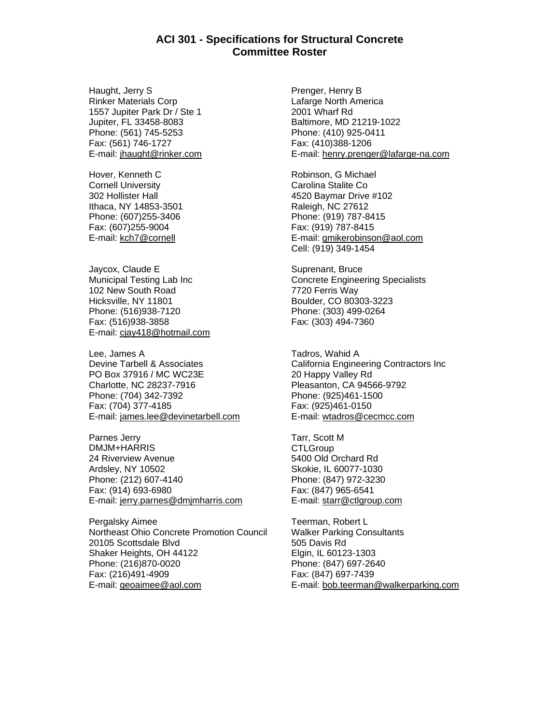Haught, Jerry S Rinker Materials Corp 1557 Jupiter Park Dr / Ste 1 Jupiter, FL 33458-8083 Phone: (561) 745-5253 Fax: (561) 746-1727 E-mail: jhaught@rinker.com

Hover, Kenneth C Cornell University 302 Hollister Hall Ithaca, NY 14853-3501 Phone: (607)255-3406 Fax: (607)255-9004 E-mail: kch7@cornell

Jaycox, Claude E Municipal Testing Lab Inc 102 New South Road Hicksville, NY 11801 Phone: (516)938-7120 Fax: (516)938-3858 E-mail: cjay418@hotmail.com

Lee, James A Devine Tarbell & Associates PO Box 37916 / MC WC23E Charlotte, NC 28237-7916 Phone: (704) 342-7392 Fax: (704) 377-4185 E-mail: james.lee@devinetarbell.com

Parnes Jerry DMJM+HARRIS 24 Riverview Avenue Ardsley, NY 10502 Phone: (212) 607-4140 Fax: (914) 693-6980 E-mail: jerry.parnes@dmjmharris.com

Pergalsky Aimee Northeast Ohio Concrete Promotion Council 20105 Scottsdale Blvd Shaker Heights, OH 44122 Phone: (216)870-0020 Fax: (216)491-4909 E-mail: geoaimee@aol.com

Prenger, Henry B Lafarge North America 2001 Wharf Rd Baltimore, MD 21219-1022 Phone: (410) 925-0411 Fax: (410)388-1206 E-mail: henry.prenger@lafarge-na.com

Robinson, G Michael Carolina Stalite Co 4520 Baymar Drive #102 Raleigh, NC 27612 Phone: (919) 787-8415 Fax: (919) 787-8415 E-mail: gmikerobinson@aol.com Cell: (919) 349-1454

Suprenant, Bruce Concrete Engineering Specialists 7720 Ferris Way Boulder, CO 80303-3223 Phone: (303) 499-0264 Fax: (303) 494-7360

Tadros, Wahid A California Engineering Contractors Inc 20 Happy Valley Rd Pleasanton, CA 94566-9792 Phone: (925)461-1500 Fax: (925)461-0150 E-mail: wtadros@cecmcc.com

Tarr, Scott M **CTLGroup** 5400 Old Orchard Rd Skokie, IL 60077-1030 Phone: (847) 972-3230 Fax: (847) 965-6541 E-mail: starr@ctlgroup.com

Teerman, Robert L Walker Parking Consultants 505 Davis Rd Elgin, IL 60123-1303 Phone: (847) 697-2640 Fax: (847) 697-7439 E-mail: bob.teerman@walkerparking.com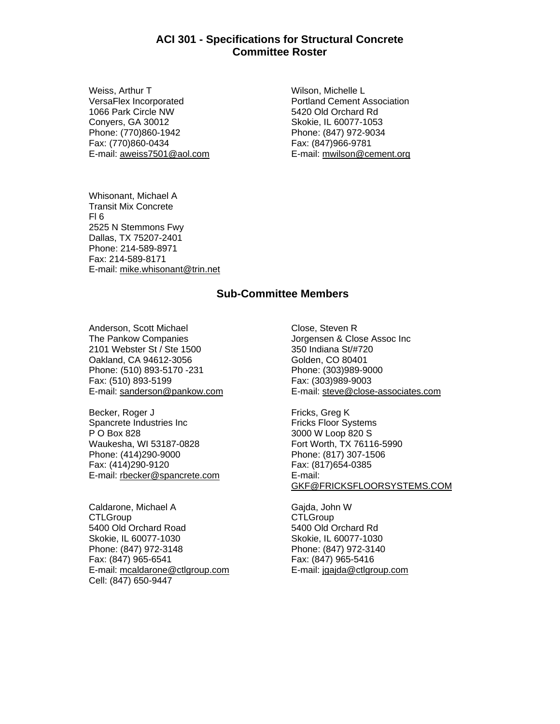Weiss, Arthur T VersaFlex Incorporated 1066 Park Circle NW Conyers, GA 30012 Phone: (770)860-1942 Fax: (770)860-0434 E-mail: aweiss7501@aol.com

Wilson, Michelle L Portland Cement Association 5420 Old Orchard Rd Skokie, IL 60077-1053 Phone: (847) 972-9034 Fax: (847)966-9781 E-mail: mwilson@cement.org

Whisonant, Michael A Transit Mix Concrete Fl 6 2525 N Stemmons Fwy Dallas, TX 75207-2401 Phone: 214-589-8971 Fax: 214-589-8171 E-mail: mike.whisonant@trin.net

## **Sub-Committee Members**

Anderson, Scott Michael The Pankow Companies 2101 Webster St / Ste 1500 Oakland, CA 94612-3056 Phone: (510) 893-5170 -231 Fax: (510) 893-5199 E-mail: sanderson@pankow.com

Becker, Roger J Spancrete Industries Inc P O Box 828 Waukesha, WI 53187-0828 Phone: (414)290-9000 Fax: (414)290-9120 E-mail: rbecker@spancrete.com

Caldarone, Michael A **CTLGroup** 5400 Old Orchard Road Skokie, IL 60077-1030 Phone: (847) 972-3148 Fax: (847) 965-6541 E-mail: mcaldarone@ctlgroup.com Cell: (847) 650-9447

Close, Steven R Jorgensen & Close Assoc Inc 350 Indiana St/#720 Golden, CO 80401 Phone: (303)989-9000 Fax: (303)989-9003 E-mail: steve@close-associates.com

Fricks, Greg K Fricks Floor Systems 3000 W Loop 820 S Fort Worth, TX 76116-5990 Phone: (817) 307-1506 Fax: (817)654-0385 E-mail: GKF@FRICKSFLOORSYSTEMS.COM

Gajda, John W **CTLGroup** 5400 Old Orchard Rd Skokie, IL 60077-1030 Phone: (847) 972-3140 Fax: (847) 965-5416 E-mail: jgajda@ctlgroup.com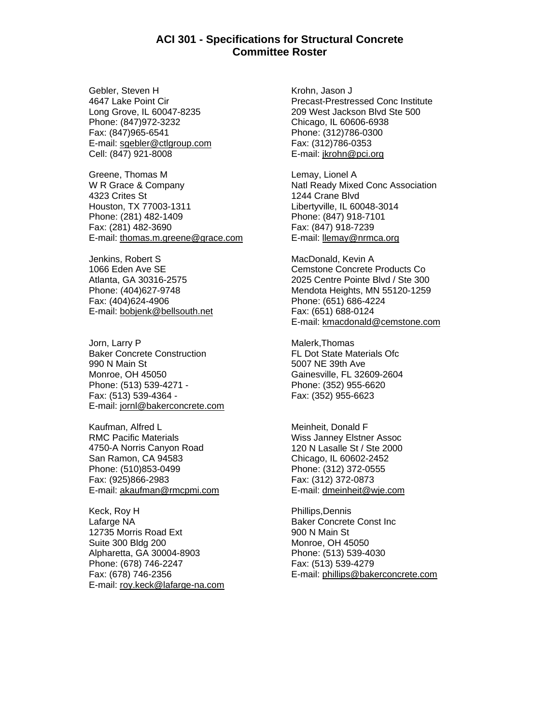Gebler, Steven H 4647 Lake Point Cir Long Grove, IL 60047-8235 Phone: (847)972-3232 Fax: (847)965-6541 E-mail: sgebler@ctlgroup.com Cell: (847) 921-8008

Greene, Thomas M W R Grace & Company 4323 Crites St Houston, TX 77003-1311 Phone: (281) 482-1409 Fax: (281) 482-3690 E-mail: thomas.m.greene@grace.com

Jenkins, Robert S 1066 Eden Ave SE Atlanta, GA 30316-2575 Phone: (404)627-9748 Fax: (404)624-4906 E-mail: bobjenk@bellsouth.net

Jorn, Larry P Baker Concrete Construction 990 N Main St Monroe, OH 45050 Phone: (513) 539-4271 - Fax: (513) 539-4364 - E-mail: jornl@bakerconcrete.com

Kaufman, Alfred L RMC Pacific Materials 4750-A Norris Canyon Road San Ramon, CA 94583 Phone: (510)853-0499 Fax: (925)866-2983 E-mail: akaufman@rmcpmi.com

Keck, Roy H Lafarge NA 12735 Morris Road Ext Suite 300 Bldg 200 Alpharetta, GA 30004-8903 Phone: (678) 746-2247 Fax: (678) 746-2356 E-mail: roy.keck@lafarge-na.com Krohn, Jason J Precast-Prestressed Conc Institute 209 West Jackson Blvd Ste 500 Chicago, IL 60606-6938 Phone: (312)786-0300 Fax: (312)786-0353 E-mail: jkrohn@pci.org

Lemay, Lionel A Natl Ready Mixed Conc Association 1244 Crane Blvd Libertyville, IL 60048-3014 Phone: (847) 918-7101 Fax: (847) 918-7239 E-mail: llemay@nrmca.org

MacDonald, Kevin A Cemstone Concrete Products Co 2025 Centre Pointe Blvd / Ste 300 Mendota Heights, MN 55120-1259 Phone: (651) 686-4224 Fax: (651) 688-0124 E-mail: kmacdonald@cemstone.com

Malerk,Thomas FL Dot State Materials Ofc 5007 NE 39th Ave Gainesville, FL 32609-2604 Phone: (352) 955-6620 Fax: (352) 955-6623

Meinheit, Donald F Wiss Janney Elstner Assoc 120 N Lasalle St / Ste 2000 Chicago, IL 60602-2452 Phone: (312) 372-0555 Fax: (312) 372-0873 E-mail: dmeinheit@wje.com

Phillips,Dennis Baker Concrete Const Inc 900 N Main St Monroe, OH 45050 Phone: (513) 539-4030 Fax: (513) 539-4279 E-mail: phillips@bakerconcrete.com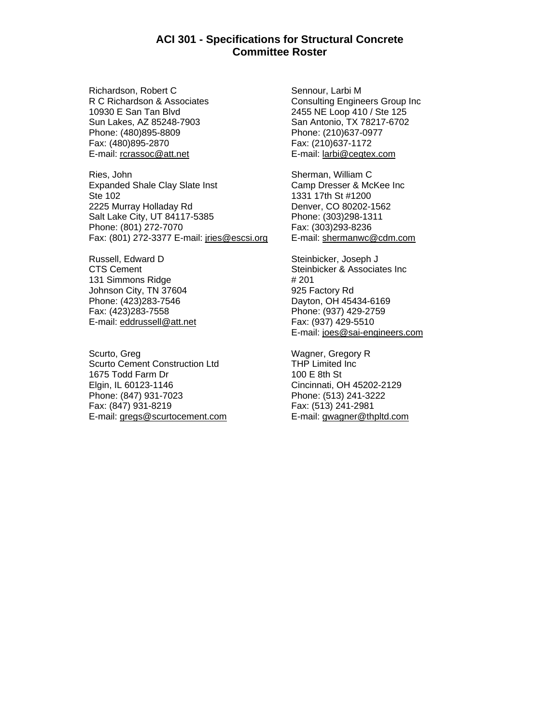Richardson, Robert C R C Richardson & Associates 10930 E San Tan Blvd Sun Lakes, AZ 85248-7903 Phone: (480)895-8809 Fax: (480)895-2870 E-mail: rcrassoc@att.net

Ries, John Expanded Shale Clay Slate Inst Ste 102 2225 Murray Holladay Rd Salt Lake City, UT 84117-5385 Phone: (801) 272-7070 Fax: (801) 272-3377 E-mail: jries@escsi.org

Russell, Edward D CTS Cement 131 Simmons Ridge Johnson City, TN 37604 Phone: (423)283-7546 Fax: (423)283-7558 E-mail: eddrussell@att.net

Scurto, Greg Scurto Cement Construction Ltd 1675 Todd Farm Dr Elgin, IL 60123-1146 Phone: (847) 931-7023 Fax: (847) 931-8219 E-mail: gregs@scurtocement.com

Sennour, Larbi M Consulting Engineers Group Inc 2455 NE Loop 410 / Ste 125 San Antonio, TX 78217-6702 Phone: (210)637-0977 Fax: (210)637-1172 E-mail: larbi@cegtex.com

Sherman, William C Camp Dresser & McKee Inc 1331 17th St #1200 Denver, CO 80202-1562 Phone: (303)298-1311 Fax: (303)293-8236 E-mail: shermanwc@cdm.com

Steinbicker, Joseph J Steinbicker & Associates Inc # 201 925 Factory Rd Dayton, OH 45434-6169 Phone: (937) 429-2759 Fax: (937) 429-5510 E-mail: joes@sai-engineers.com

Wagner, Gregory R THP Limited Inc 100 E 8th St Cincinnati, OH 45202-2129 Phone: (513) 241-3222 Fax: (513) 241-2981 E-mail: gwagner@thpltd.com